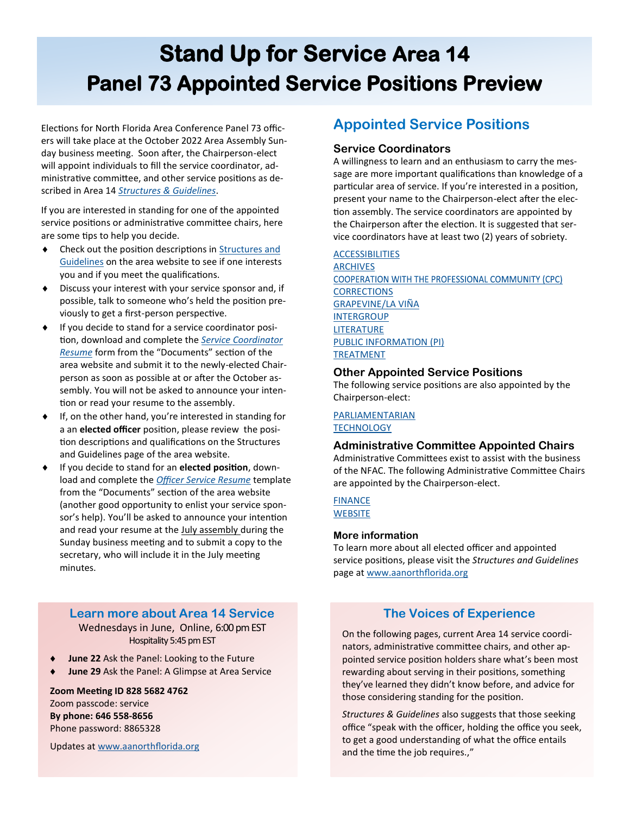# **Area 14 Elections Stand Up for Service Area 14 Area 14 Area 15 Area 16 Area 16 Area 16 Area 16 Area 16 Area 16 Area 16 Area 16 Area 16 Area 16 Area 16 Area 16 Area 16 Area 16 Area 16 Area 16 Area 16 Area 16 Area 16 Area 1 Panel 73 Appointed Service Positions Preview**

Elections for North Florida Area Conference Panel 73 officers will take place at the October 2022 Area Assembly Sunday business meeting. Soon after, the Chairperson-elect will appoint individuals to fill the service coordinator, administrative committee, and other service positions as described in Area 14 *[Structures & Guidelines](https://www.aanorthflorida.org/structures_guidelines.asp)*.

If you are interested in standing for one of the appointed service positions or administrative committee chairs, here are some tips to help you decide.

- ◆ Check out the position descriptions in Structures and [Guidelines](https://www.aanorthflorida.org/structures_guidelines.asp) on the area website to see if one interests you and if you meet the qualifications.
- Discuss your interest with your service sponsor and, if possible, talk to someone who's held the position previously to get a first-person perspective.
- If you decide to stand for a service coordinator position, download and complete the *[Service Coordinator](https://www.aanorthflorida.org/docs/service-coordinator-resume-5-2-21.pdf)  [Resume](https://www.aanorthflorida.org/docs/service-coordinator-resume-5-2-21.pdf)* form from the "Documents" section of the area website and submit it to the newly-elected Chairperson as soon as possible at or after the October assembly. You will not be asked to announce your intention or read your resume to the assembly.
- $\bullet$  If, on the other hand, you're interested in standing for a an **elected officer** position, please review the position descriptions and qualifications on the Structures and Guidelines page of the area website.
- If you decide to stand for an **elected position**, download and complete the *[Officer Service Resume](https://www.aanorthflorida.org/docs/OfficerResume.pdf)* template from the "Documents" section of the area website (another good opportunity to enlist your service sponsor's help). You'll be asked to announce your intention and read your resume at the July assembly during the Sunday business meeting and to submit a copy to the secretary, who will include it in the July meeting minutes.

**Learn more about Area 14 Service** Wednesdays in June, Online, 6:00 pm EST Hospitality 5:45 pm EST

- **June 22** Ask the Panel: Looking to the Future
- **June 29** Ask the Panel: A Glimpse at Area Service

**Zoom Meeting ID 828 5682 4762**  Zoom passcode: service **By phone: 646 558-8656** Phone password: 8865328

Updates at [www.aanorthflorida.org](https://www.aanorthflorida.org/events/2022-06WedEvents.pdf)

## **Appointed Service Positions**

## **Service Coordinators**

A willingness to learn and an enthusiasm to carry the message are more important qualifications than knowledge of a particular area of service. If you're interested in a position, present your name to the Chairperson-elect after the election assembly. The service coordinators are appointed by the Chairperson after the election. It is suggested that service coordinators have at least two (2) years of sobriety.

## [ACCESSIBILITIES](https://www.aanorthflorida.org/structures_guidelines.asp#08)

[ARCHIVES](https://www.aanorthflorida.org/structures_guidelines.asp#09) COOPERATION WITH THE PROFESSIONAL COMMUNITY (CPC) **[CORRECTIONS](https://www.aanorthflorida.org/structures_guidelines.asp#11)** [GRAPEVINE/LA VIÑA](https://www.aanorthflorida.org/structures_guidelines.asp#12) **[INTERGROUP](https://www.aanorthflorida.org/structures_guidelines.asp#13)** [LITERATURE](https://www.aanorthflorida.org/structures_guidelines.asp#14) [PUBLIC INFORMATION \(PI\)](https://www.aanorthflorida.org/structures_guidelines.asp#15) [TREATMENT](https://www.aanorthflorida.org/structures_guidelines.asp#16)

## **Other Appointed Service Positions**

The following service positions are also appointed by the Chairperson-elect:

#### [PARLIAMENTARIAN](https://www.aanorthflorida.org/structures_guidelines.asp#18) **[TECHNOLOGY](https://www.aanorthflorida.org/structures_guidelines.asp#48)**

## **Administrative Committee Appointed Chairs**

Administrative Committees exist to assist with the business of the NFAC. The following Administrative Committee Chairs are appointed by the Chairperson-elect.

## **[FINANCE](https://www.aanorthflorida.org/structures_guidelines.asp#29) [WEBSITE](https://www.aanorthflorida.org/structures_guidelines.asp#32)**

## **More information**

To learn more about all elected officer and appointed service positions, please visit the *Structures and Guidelines*  page at [www.aanorthflorida.org](https://www.aanorthflorida.org/structures_guidelines.asp)

## **The Voices of Experience**

On the following pages, current Area 14 service coordinators, administrative committee chairs, and other appointed service position holders share what's been most rewarding about serving in their positions, something they've learned they didn't know before, and advice for those considering standing for the position.

*Structures & Guidelines* also suggests that those seeking office "speak with the officer, holding the office you seek, to get a good understanding of what the office entails and the time the job requires.,"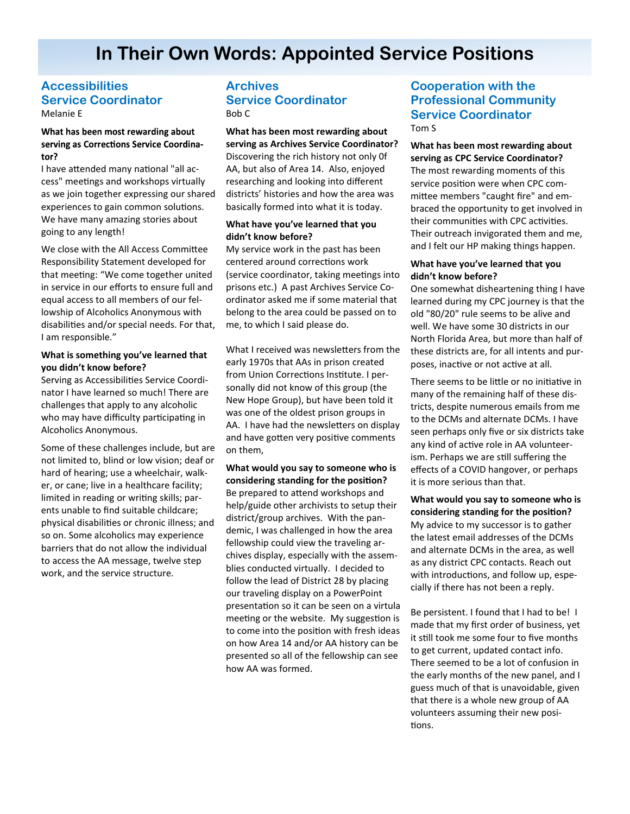## **Accessibilities Service Coordinator** Melanie E

## What has been most rewarding about serving as Corrections Service Coordinator?

I have attended many national "all access" meetings and workshops virtually as we join together expressing our shared experiences to gain common solutions. We have many amazing stories about going to any length!

We close with the All Access Committee Responsibility Statement developed for that meeting: "We come together united in service in our efforts to ensure full and equal access to all members of our fellowship of Alcoholics Anonymous with disabilities and/or special needs. For that, I am responsible."

#### **What is something you've learned that you didn't know before?**

Serving as Accessibilities Service Coordinator I have learned so much! There are challenges that apply to any alcoholic who may have difficulty participating in Alcoholics Anonymous.

Some of these challenges include, but are not limited to, blind or low vision; deaf or hard of hearing; use a wheelchair, walker, or cane; live in a healthcare facility; limited in reading or writing skills; parents unable to find suitable childcare; physical disabilities or chronic illness; and so on. Some alcoholics may experience barriers that do not allow the individual to access the AA message, twelve step work, and the service structure.

## **Archives Service Coordinator**  Bob C

**What has been most rewarding about serving as Archives Service Coordinator?** Discovering the rich history not only 0f AA, but also of Area 14. Also, enjoyed researching and looking into different districts' histories and how the area was basically formed into what it is today.

#### **What have you've learned that you didn't know before?**

My service work in the past has been centered around corrections work (service coordinator, taking meetings into prisons etc.) A past Archives Service Coordinator asked me if some material that belong to the area could be passed on to me, to which I said please do.

What I received was newsletters from the early 1970s that AAs in prison created from Union Corrections Institute. I personally did not know of this group (the New Hope Group), but have been told it was one of the oldest prison groups in AA. I have had the newsletters on display and have gotten very positive comments on them,

**What would you say to someone who is considering standing for the position?** Be prepared to attend workshops and help/guide other archivists to setup their district/group archives. With the pandemic, I was challenged in how the area fellowship could view the traveling archives display, especially with the assemblies conducted virtually. I decided to follow the lead of District 28 by placing our traveling display on a PowerPoint presentation so it can be seen on a virtula meeting or the website. My suggestion is to come into the position with fresh ideas on how Area 14 and/or AA history can be presented so all of the fellowship can see how AA was formed.

## **Cooperation with the Professional Community Service Coordinator**

Tom S

**What has been most rewarding about serving as CPC Service Coordinator?** The most rewarding moments of this service position were when CPC committee members "caught fire" and embraced the opportunity to get involved in their communities with CPC activities. Their outreach invigorated them and me, and I felt our HP making things happen.

### **What have you've learned that you didn't know before?**

One somewhat disheartening thing I have learned during my CPC journey is that the old "80/20" rule seems to be alive and well. We have some 30 districts in our North Florida Area, but more than half of these districts are, for all intents and purposes, inactive or not active at all.

There seems to be little or no initiative in many of the remaining half of these districts, despite numerous emails from me to the DCMs and alternate DCMs. I have seen perhaps only five or six districts take any kind of active role in AA volunteerism. Perhaps we are still suffering the effects of a COVID hangover, or perhaps it is more serious than that.

**What would you say to someone who is considering standing for the position?** My advice to my successor is to gather the latest email addresses of the DCMs and alternate DCMs in the area, as well as any district CPC contacts. Reach out with introductions, and follow up, especially if there has not been a reply.

Be persistent. I found that I had to be! I made that my first order of business, yet it still took me some four to five months to get current, updated contact info. There seemed to be a lot of confusion in the early months of the new panel, and I guess much of that is unavoidable, given that there is a whole new group of AA volunteers assuming their new positions.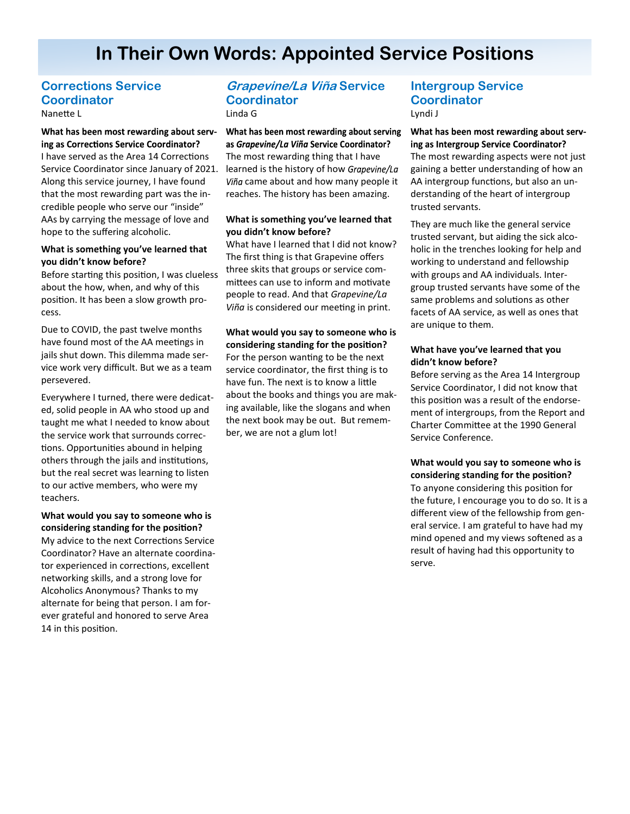## **Corrections Service Coordinator** Nanette L

#### What has been most rewarding about serving as Corrections Service Coordinator?

I have served as the Area 14 Corrections Service Coordinator since January of 2021. Along this service journey, I have found that the most rewarding part was the incredible people who serve our "inside" AAs by carrying the message of love and hope to the suffering alcoholic.

#### **What is something you've learned that you didn't know before?**

Before starting this position, I was clueless about the how, when, and why of this position. It has been a slow growth process.

Due to COVID, the past twelve months have found most of the AA meetings in jails shut down. This dilemma made service work very difficult. But we as a team persevered.

Everywhere I turned, there were dedicated, solid people in AA who stood up and taught me what I needed to know about the service work that surrounds corrections. Opportunities abound in helping others through the jails and institutions, but the real secret was learning to listen to our active members, who were my teachers.

## **What would you say to someone who is considering standing for the position?**

My advice to the next Corrections Service Coordinator? Have an alternate coordinator experienced in corrections, excellent networking skills, and a strong love for Alcoholics Anonymous? Thanks to my alternate for being that person. I am forever grateful and honored to serve Area 14 in this position.

## **Grapevine/La Viña Service Coordinator** Linda G

What has been most rewarding about serving as Grapevine/La Viña Service Coordinator? The most rewarding thing that I have learned is the history of how Grapevine/La Viña came about and how many people it reaches. The history has been amazing.

#### **What is something you've learned that you didn't know before?**

What have I learned that I did not know? The first thing is that Grapevine offers three skits that groups or service committees can use to inform and motivate people to read. And that *Grapevine/La Viña* is considered our meeting in print.

**What would you say to someone who is considering standing for the position?** For the person wanting to be the next service coordinator, the first thing is to have fun. The next is to know a little about the books and things you are making available, like the slogans and when the next book may be out. But remember, we are not a glum lot!

## **Intergroup Service Coordinator** Lyndi J

What has been most rewarding about serving as Intergroup Service Coordinator? The most rewarding aspects were not just gaining a better understanding of how an AA intergroup functions, but also an understanding of the heart of intergroup trusted servants.

They are much like the general service trusted servant, but aiding the sick alcoholic in the trenches looking for help and working to understand and fellowship with groups and AA individuals. Intergroup trusted servants have some of the same problems and solutions as other facets of AA service, as well as ones that are unique to them.

## **What have you've learned that you didn't know before?**

Before serving as the Area 14 Intergroup Service Coordinator, I did not know that this position was a result of the endorsement of intergroups, from the Report and Charter Committee at the 1990 General Service Conference.

**What would you say to someone who is considering standing for the position?** To anyone considering this position for the future, I encourage you to do so. It is a different view of the fellowship from general service. I am grateful to have had my mind opened and my views softened as a result of having had this opportunity to serve.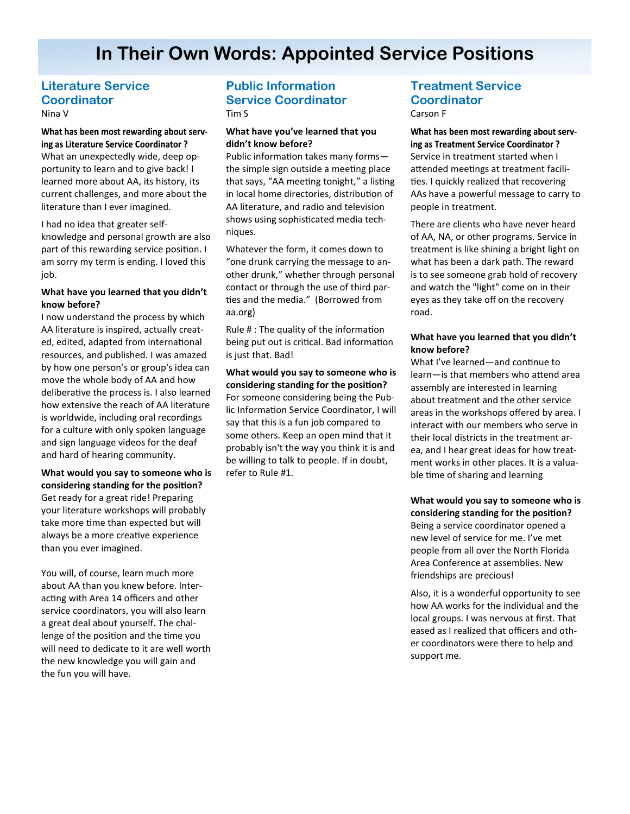## **Literature Service Coordinator** Nina V

## What has been most rewarding about serving as Literature Service Coordinator? What an unexpectedly wide, deep opportunity to learn and to give back! I learned more about AA, its history, its current challenges, and more about the literature than I ever imagined.

I had no idea that greater selfknowledge and personal growth are also part of this rewarding service position. I am sorry my term is ending. I loved this job.

#### **What have you learned that you didn't know before?**

I now understand the process by which AA literature is inspired, actually created, edited, adapted from international resources, and published. I was amazed by how one person's or group's idea can move the whole body of AA and how deliberative the process is. I also learned how extensive the reach of AA literature is worldwide, including oral recordings for a culture with only spoken language and sign language videos for the deaf and hard of hearing community.

## **What would you say to someone who is considering standing for the position?** Get ready for a great ride! Preparing your literature workshops will probably take more time than expected but will always be a more creative experience than you ever imagined.

You will, of course, learn much more about AA than you knew before. Interacting with Area 14 officers and other service coordinators, you will also learn a great deal about yourself. The challenge of the position and the time you will need to dedicate to it are well worth the new knowledge you will gain and the fun you will have.

## **Public Information Service Coordinator** Tim S

#### **What have you've learned that you didn't know before?**

Public information takes many forms the simple sign outside a meeting place that says, "AA meeting tonight," a listing in local home directories, distribution of AA literature, and radio and television shows using sophisticated media techniques.

Whatever the form, it comes down to "one drunk carrying the message to another drunk," whether through personal contact or through the use of third parties and the media." (Borrowed from aa.org)

Rule # : The quality of the information being put out is critical. Bad information is just that. Bad!

## **What would you say to someone who is considering standing for the position?** For someone considering being the Public Information Service Coordinator, I will say that this is a fun job compared to some others. Keep an open mind that it probably isn't the way you think it is and be willing to talk to people. If in doubt, refer to Rule #1.

## **Treatment Service Coordinator** Carson F

What has been most rewarding about serving as Treatment Service Coordinator? Service in treatment started when I attended meetings at treatment facilities. I quickly realized that recovering AAs have a powerful message to carry to people in treatment.

There are clients who have never heard of AA, NA, or other programs. Service in treatment is like shining a bright light on what has been a dark path. The reward is to see someone grab hold of recovery and watch the "light" come on in their eyes as they take off on the recovery road.

## **What have you learned that you didn't know before?**

What I've learned—and continue to learn—is that members who attend area assembly are interested in learning about treatment and the other service areas in the workshops offered by area. I interact with our members who serve in their local districts in the treatment area, and I hear great ideas for how treatment works in other places. It is a valuable time of sharing and learning

**What would you say to someone who is considering standing for the position?** Being a service coordinator opened a new level of service for me. I've met people from all over the North Florida Area Conference at assemblies. New friendships are precious!

Also, it is a wonderful opportunity to see how AA works for the individual and the local groups. I was nervous at first. That eased as I realized that officers and other coordinators were there to help and support me.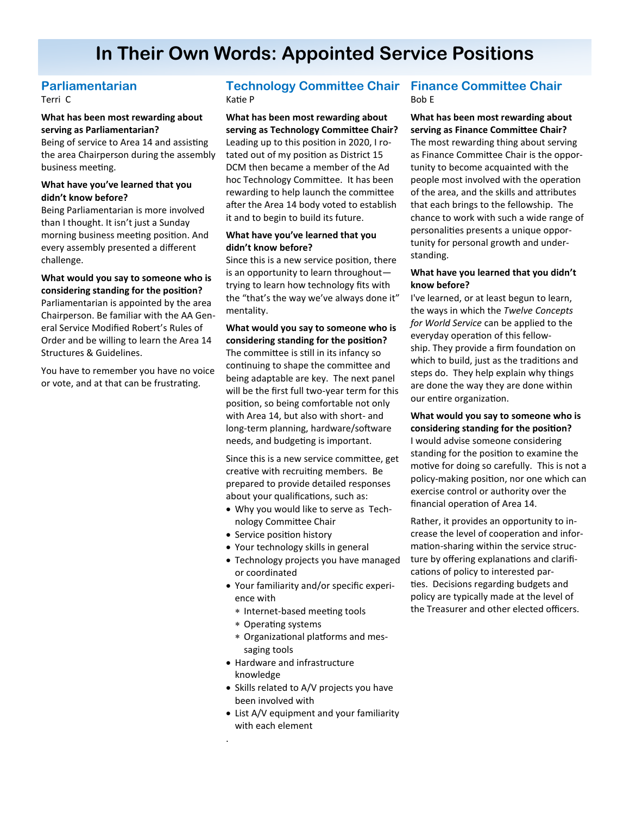## **Parliamentarian**

Terri C

## **What has been most rewarding about serving as Parliamentarian?**

Being of service to Area 14 and assisting the area Chairperson during the assembly business meeting.

## **What have you've learned that you didn't know before?**

Being Parliamentarian is more involved than I thought. It isn't just a Sunday morning business meeting position. And every assembly presented a different challenge.

#### **What would you say to someone who is considering standing for the position?**

Parliamentarian is appointed by the area Chairperson. Be familiar with the AA General Service Modified Robert's Rules of Order and be willing to learn the Area 14 Structures & Guidelines.

You have to remember you have no voice or vote, and at that can be frustrating.

## **Technology Committee Chair Finance Committee Chair** Katie P

**What has been most rewarding about serving as Technology Committee Chair?** Leading up to this position in 2020, I rotated out of my position as District 15 DCM then became a member of the Ad hoc Technology Committee. It has been rewarding to help launch the committee after the Area 14 body voted to establish it and to begin to build its future.

## **What have you've learned that you didn't know before?**

Since this is a new service position, there is an opportunity to learn throughout trying to learn how technology fits with the "that's the way we've always done it" mentality.

## **What would you say to someone who is considering standing for the position?**

The committee is still in its infancy so continuing to shape the committee and being adaptable are key. The next panel will be the first full two-year term for this position, so being comfortable not only with Area 14, but also with short- and long-term planning, hardware/software needs, and budgeting is important.

Since this is a new service committee, get creative with recruiting members. Be prepared to provide detailed responses about your qualifications, such as:

- Why you would like to serve as Technology Committee Chair
- Service position history
- Your technology skills in general
- Technology projects you have managed or coordinated
- Your familiarity and/or specific experience with
	- \* Internet-based meeting tools
	- Operating systems

.

- Organizational platforms and messaging tools
- Hardware and infrastructure knowledge
- Skills related to A/V projects you have been involved with
- List A/V equipment and your familiarity with each element

# Bob E

**What has been most rewarding about serving as Finance Committee Chair?** The most rewarding thing about serving as Finance Committee Chair is the opportunity to become acquainted with the people most involved with the operation of the area, and the skills and attributes that each brings to the fellowship. The chance to work with such a wide range of personalities presents a unique opportunity for personal growth and understanding.

#### **What have you learned that you didn't know before?**

I've learned, or at least begun to learn, the ways in which the *Twelve Concepts for World Service* can be applied to the everyday operation of this fellowship. They provide a firm foundation on which to build, just as the traditions and steps do. They help explain why things are done the way they are done within our entire organization.

**What would you say to someone who is considering standing for the position?** I would advise someone considering standing for the position to examine the motive for doing so carefully. This is not a policy-making position, nor one which can exercise control or authority over the financial operation of Area 14.

Rather, it provides an opportunity to increase the level of cooperation and information-sharing within the service structure by offering explanations and clarifications of policy to interested parties. Decisions regarding budgets and policy are typically made at the level of the Treasurer and other elected officers.